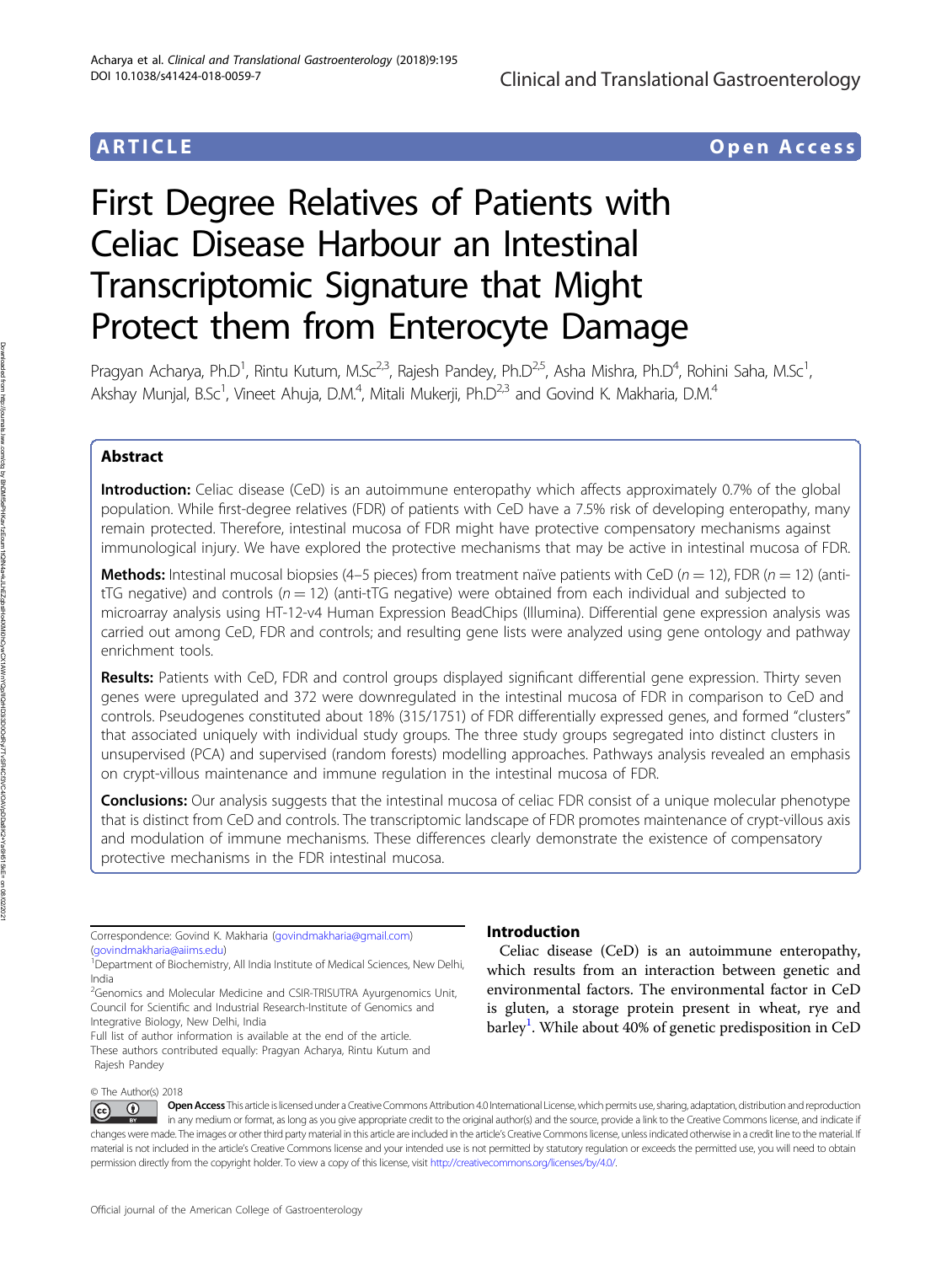# ARTICLE Open Access

# First Degree Relatives of Patients with Celiac Disease Harbour an Intestinal Transcriptomic Signature that Might Protect them from Enterocyte Damage

Pragyan Acharya, Ph.D<sup>1</sup>, Rintu Kutum, M.Sc<sup>2,3</sup>, Rajesh Pandey, Ph.D<sup>2,5</sup>, Asha Mishra, Ph.D<sup>4</sup>, Rohini Saha, M.Sc<sup>1</sup> , Akshay Munjal, B.Sc<sup>1</sup>, Vineet Ahuja, D.M.<sup>4</sup>, Mitali Mukerji, Ph.D<sup>2,3</sup> and Govind K. Makharia, D.M.<sup>4</sup>

# Abstract

Introduction: Celiac disease (CeD) is an autoimmune enteropathy which affects approximately 0.7% of the global population. While first-degree relatives (FDR) of patients with CeD have a 7.5% risk of developing enteropathy, many remain protected. Therefore, intestinal mucosa of FDR might have protective compensatory mechanisms against immunological injury. We have explored the protective mechanisms that may be active in intestinal mucosa of FDR.

**Methods:** Intestinal mucosal biopsies (4–5 pieces) from treatment naïve patients with CeD ( $n = 12$ ), FDR ( $n = 12$ ) (antitTG negative) and controls (*n* = 12) (anti-tTG negative) were obtained from each individual and subjected to microarray analysis using HT-12-v4 Human Expression BeadChips (Illumina). Differential gene expression analysis was carried out among CeD, FDR and controls; and resulting gene lists were analyzed using gene ontology and pathway enrichment tools.

Results: Patients with CeD, FDR and control groups displayed significant differential gene expression. Thirty seven genes were upregulated and 372 were downregulated in the intestinal mucosa of FDR in comparison to CeD and controls. Pseudogenes constituted about 18% (315/1751) of FDR differentially expressed genes, and formed "clusters" that associated uniquely with individual study groups. The three study groups segregated into distinct clusters in unsupervised (PCA) and supervised (random forests) modelling approaches. Pathways analysis revealed an emphasis on crypt-villous maintenance and immune regulation in the intestinal mucosa of FDR.

Conclusions: Our analysis suggests that the intestinal mucosa of celiac FDR consist of a unique molecular phenotype that is distinct from CeD and controls. The transcriptomic landscape of FDR promotes maintenance of crypt-villous axis and modulation of immune mechanisms. These differences clearly demonstrate the existence of compensatory protective mechanisms in the FDR intestinal mucosa.

Correspondence: Govind K. Makharia [\(govindmakharia@gmail.com\)](mailto:govindmakharia@gmail.com) ([govindmakharia@aiims.edu\)](mailto:govindmakharia@aiims.edu)

<sup>2</sup> Genomics and Molecular Medicine and CSIR-TRISUTRA Ayurgenomics Unit, Council for Scientific and Industrial Research-Institute of Genomics and Integrative Biology, New Delhi, India Full list of author information is available at the end of the article.

These authors contributed equally: Pragyan Acharya, Rintu Kutum and Rajesh Pandey

Introduction

Celiac disease (CeD) is an autoimmune enteropathy, which results from an interaction between genetic and environmental factors. The environmental factor in CeD is gluten, a storage protein present in wheat, rye and barley<sup>1</sup>. While about 40% of genetic predisposition in CeD

© The Author(s) 2018 Open Access This article is licensed under a Creative Commons Attribution 4.0 International License, which permits use, sharing, adaptation, distribution and reproduction in any medium or format, as long as you give appropriate credit to the original author(s) and the source, provide a link to the Creative Commons license, and indicate if changes were made. The images or other third party material in this article are included in the article's Creative Commons license, unless indicated otherwise in a credit line to the material. If material is not included in the article's Creative Commons license and your intended use is not permitted by statutory regulation or exceeds the permitted use, you will need to obtain permission directly from the copyright holder. To view a copy of this license, visit <http://creativecommons.org/licenses/by/4.0/>.

<sup>&</sup>lt;sup>1</sup>Department of Biochemistry, All India Institute of Medical Sciences, New Delhi, India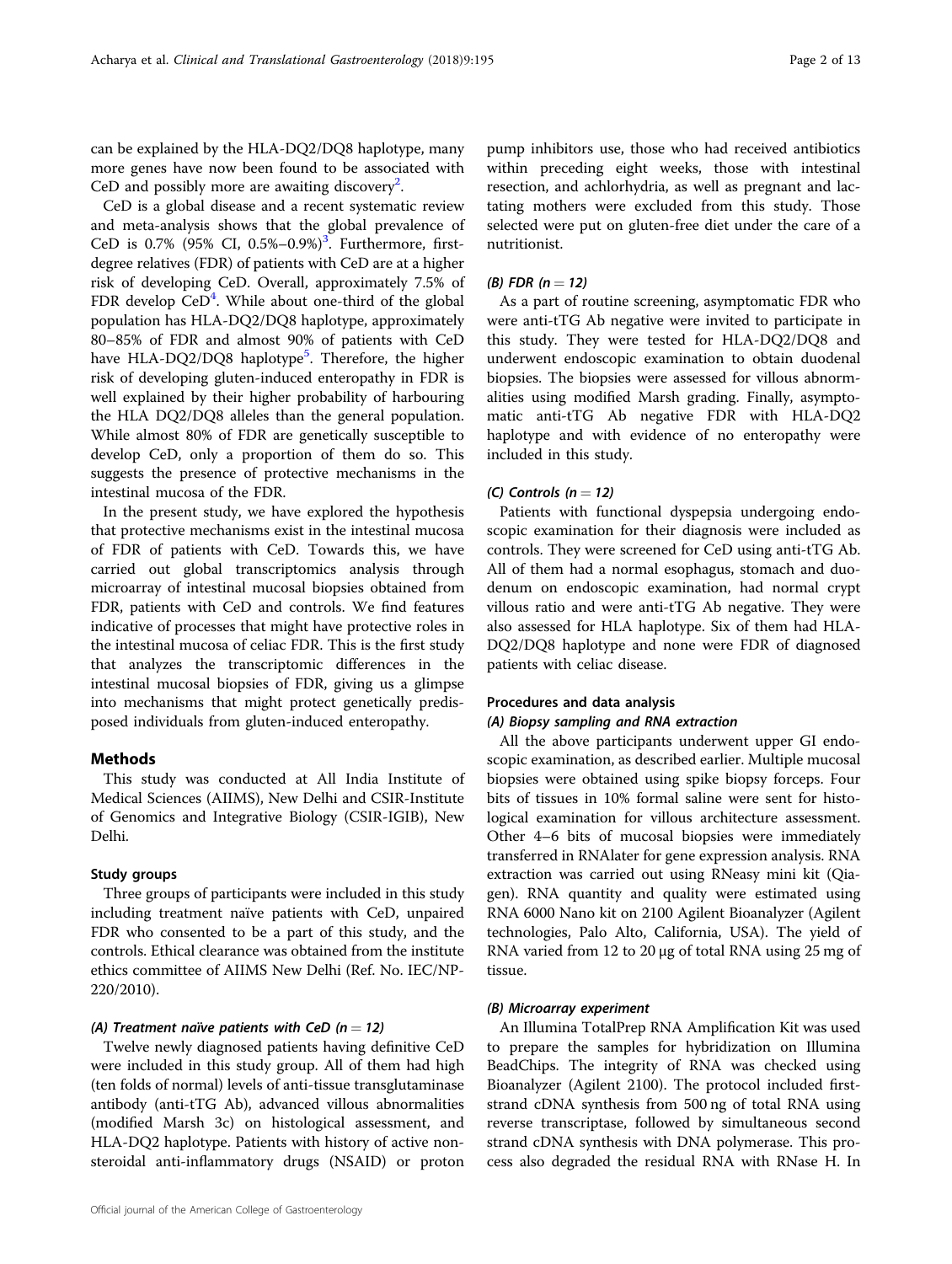can be explained by the HLA-DQ2/DQ8 haplotype, many more genes have now been found to be associated with CeD and possibly more are awaiting discovery<sup>2</sup>.

CeD is a global disease and a recent systematic review and meta-analysis shows that the global prevalence of CeD is 0.7% (95% CI, 0.5%-0.9%)<sup>3</sup>. Furthermore, firstdegree relatives (FDR) of patients with CeD are at a higher risk of developing CeD. Overall, approximately 7.5% of FDR develop  $\overline{CeD}^4$ . While about one-third of the global population has HLA-DQ2/DQ8 haplotype, approximately 80–85% of FDR and almost 90% of patients with CeD have HLA-DQ2/DQ8 haplotype<sup>5</sup>. Therefore, the higher risk of developing gluten-induced enteropathy in FDR is well explained by their higher probability of harbouring the HLA DQ2/DQ8 alleles than the general population. While almost 80% of FDR are genetically susceptible to develop CeD, only a proportion of them do so. This suggests the presence of protective mechanisms in the intestinal mucosa of the FDR.

In the present study, we have explored the hypothesis that protective mechanisms exist in the intestinal mucosa of FDR of patients with CeD. Towards this, we have carried out global transcriptomics analysis through microarray of intestinal mucosal biopsies obtained from FDR, patients with CeD and controls. We find features indicative of processes that might have protective roles in the intestinal mucosa of celiac FDR. This is the first study that analyzes the transcriptomic differences in the intestinal mucosal biopsies of FDR, giving us a glimpse into mechanisms that might protect genetically predisposed individuals from gluten-induced enteropathy.

# Methods

This study was conducted at All India Institute of Medical Sciences (AIIMS), New Delhi and CSIR-Institute of Genomics and Integrative Biology (CSIR-IGIB), New Delhi.

# Study groups

Three groups of participants were included in this study including treatment naïve patients with CeD, unpaired FDR who consented to be a part of this study, and the controls. Ethical clearance was obtained from the institute ethics committee of AIIMS New Delhi (Ref. No. IEC/NP-220/2010).

# (A) Treatment naïve patients with CeD ( $n = 12$ )

Twelve newly diagnosed patients having definitive CeD were included in this study group. All of them had high (ten folds of normal) levels of anti-tissue transglutaminase antibody (anti-tTG Ab), advanced villous abnormalities (modified Marsh 3c) on histological assessment, and HLA-DQ2 haplotype. Patients with history of active nonsteroidal anti-inflammatory drugs (NSAID) or proton

pump inhibitors use, those who had received antibiotics within preceding eight weeks, those with intestinal resection, and achlorhydria, as well as pregnant and lactating mothers were excluded from this study. Those selected were put on gluten-free diet under the care of a nutritionist.

# (B) FDR  $(n = 12)$

As a part of routine screening, asymptomatic FDR who were anti-tTG Ab negative were invited to participate in this study. They were tested for HLA-DQ2/DQ8 and underwent endoscopic examination to obtain duodenal biopsies. The biopsies were assessed for villous abnormalities using modified Marsh grading. Finally, asymptomatic anti-tTG Ab negative FDR with HLA-DQ2 haplotype and with evidence of no enteropathy were included in this study.

# (C) Controls  $(n = 12)$

Patients with functional dyspepsia undergoing endoscopic examination for their diagnosis were included as controls. They were screened for CeD using anti-tTG Ab. All of them had a normal esophagus, stomach and duodenum on endoscopic examination, had normal crypt villous ratio and were anti-tTG Ab negative. They were also assessed for HLA haplotype. Six of them had HLA-DQ2/DQ8 haplotype and none were FDR of diagnosed patients with celiac disease.

# Procedures and data analysis

# (A) Biopsy sampling and RNA extraction

All the above participants underwent upper GI endoscopic examination, as described earlier. Multiple mucosal biopsies were obtained using spike biopsy forceps. Four bits of tissues in 10% formal saline were sent for histological examination for villous architecture assessment. Other 4–6 bits of mucosal biopsies were immediately transferred in RNAlater for gene expression analysis. RNA extraction was carried out using RNeasy mini kit (Qiagen). RNA quantity and quality were estimated using RNA 6000 Nano kit on 2100 Agilent Bioanalyzer (Agilent technologies, Palo Alto, California, USA). The yield of RNA varied from 12 to 20 µg of total RNA using 25 mg of tissue.

# (B) Microarray experiment

An Illumina TotalPrep RNA Amplification Kit was used to prepare the samples for hybridization on Illumina BeadChips. The integrity of RNA was checked using Bioanalyzer (Agilent 2100). The protocol included firststrand cDNA synthesis from 500 ng of total RNA using reverse transcriptase, followed by simultaneous second strand cDNA synthesis with DNA polymerase. This process also degraded the residual RNA with RNase H. In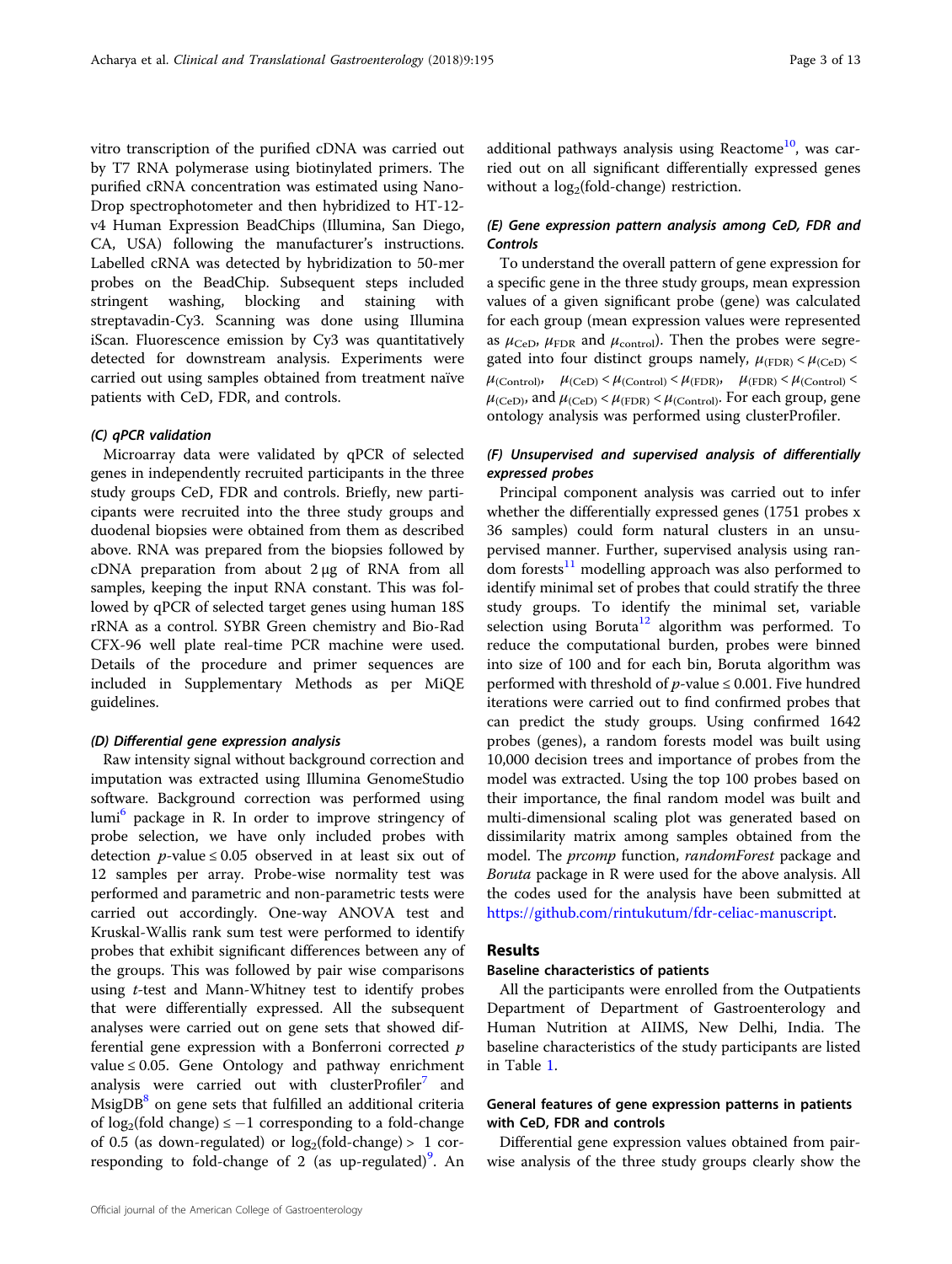vitro transcription of the purified cDNA was carried out by T7 RNA polymerase using biotinylated primers. The purified cRNA concentration was estimated using Nano-Drop spectrophotometer and then hybridized to HT-12 v4 Human Expression BeadChips (Illumina, San Diego, CA, USA) following the manufacturer's instructions. Labelled cRNA was detected by hybridization to 50-mer probes on the BeadChip. Subsequent steps included stringent washing, blocking and staining with streptavadin-Cy3. Scanning was done using Illumina iScan. Fluorescence emission by Cy3 was quantitatively detected for downstream analysis. Experiments were carried out using samples obtained from treatment naïve patients with CeD, FDR, and controls.

# (C) qPCR validation

Microarray data were validated by qPCR of selected genes in independently recruited participants in the three study groups CeD, FDR and controls. Briefly, new participants were recruited into the three study groups and duodenal biopsies were obtained from them as described above. RNA was prepared from the biopsies followed by cDNA preparation from about 2 μg of RNA from all samples, keeping the input RNA constant. This was followed by qPCR of selected target genes using human 18S rRNA as a control. SYBR Green chemistry and Bio-Rad CFX-96 well plate real-time PCR machine were used. Details of the procedure and primer sequences are included in Supplementary Methods as per MiQE guidelines.

#### (D) Differential gene expression analysis

Raw intensity signal without background correction and imputation was extracted using Illumina GenomeStudio software. Background correction was performed using lumi<sup>6</sup> package in R. In order to improve stringency of probe selection, we have only included probes with detection *p*-value  $\leq 0.05$  observed in at least six out of 12 samples per array. Probe-wise normality test was performed and parametric and non-parametric tests were carried out accordingly. One-way ANOVA test and Kruskal-Wallis rank sum test were performed to identify probes that exhibit significant differences between any of the groups. This was followed by pair wise comparisons using t-test and Mann-Whitney test to identify probes that were differentially expressed. All the subsequent analyses were carried out on gene sets that showed differential gene expression with a Bonferroni corrected  $p$ value ≤ 0.05. Gene Ontology and pathway enrichment analysis were carried out with  $clusterProfit^7$  and MsigDB<sup>8</sup> on gene sets that fulfilled an additional criteria of  $log_2$ (fold change) ≤ -1 corresponding to a fold-change of 0.5 (as down-regulated) or  $log_2(fold-change) > 1$  corresponding to fold-change of 2 (as up-regulated)<sup>9</sup>. An

additional pathways analysis using Reactome<sup>10</sup>, was carried out on all significant differentially expressed genes without a  $log_2(fold-change)$  restriction.

# (E) Gene expression pattern analysis among CeD, FDR and Controls

To understand the overall pattern of gene expression for a specific gene in the three study groups, mean expression values of a given significant probe (gene) was calculated for each group (mean expression values were represented as  $\mu_{\rm CeD}$ ,  $\mu_{\rm FDR}$  and  $\mu_{\rm control}$ ). Then the probes were segregated into four distinct groups namely,  $\mu$ <sub>(FDR)</sub> <  $\mu$ <sub>(CeD)</sub> <  $\mu_{\text{(Control)}}, \quad \mu_{\text{(CeD)}} < \mu_{\text{(Control)}} < \mu_{\text{(FDR)}}, \quad \mu_{\text{(FDR)}} < \mu_{\text{(Control)}} <$  $\mu_{(CeD)}$ , and  $\mu_{(CeD)} < \mu_{(FDR)} < \mu_{(Control)}$ . For each group, gene ontology analysis was performed using clusterProfiler.

# (F) Unsupervised and supervised analysis of differentially expressed probes

Principal component analysis was carried out to infer whether the differentially expressed genes (1751 probes x 36 samples) could form natural clusters in an unsupervised manner. Further, supervised analysis using random forests<sup>11</sup> modelling approach was also performed to identify minimal set of probes that could stratify the three study groups. To identify the minimal set, variable selection using Boruta<sup>12</sup> algorithm was performed. To reduce the computational burden, probes were binned into size of 100 and for each bin, Boruta algorithm was performed with threshold of  $p$ -value  $\leq 0.001$ . Five hundred iterations were carried out to find confirmed probes that can predict the study groups. Using confirmed 1642 probes (genes), a random forests model was built using 10,000 decision trees and importance of probes from the model was extracted. Using the top 100 probes based on their importance, the final random model was built and multi-dimensional scaling plot was generated based on dissimilarity matrix among samples obtained from the model. The prcomp function, randomForest package and Boruta package in R were used for the above analysis. All the codes used for the analysis have been submitted at <https://github.com/rintukutum/fdr-celiac-manuscript>.

# Results

#### Baseline characteristics of patients

All the participants were enrolled from the Outpatients Department of Department of Gastroenterology and Human Nutrition at AIIMS, New Delhi, India. The baseline characteristics of the study participants are listed in Table 1.

# General features of gene expression patterns in patients with CeD, FDR and controls

Differential gene expression values obtained from pairwise analysis of the three study groups clearly show the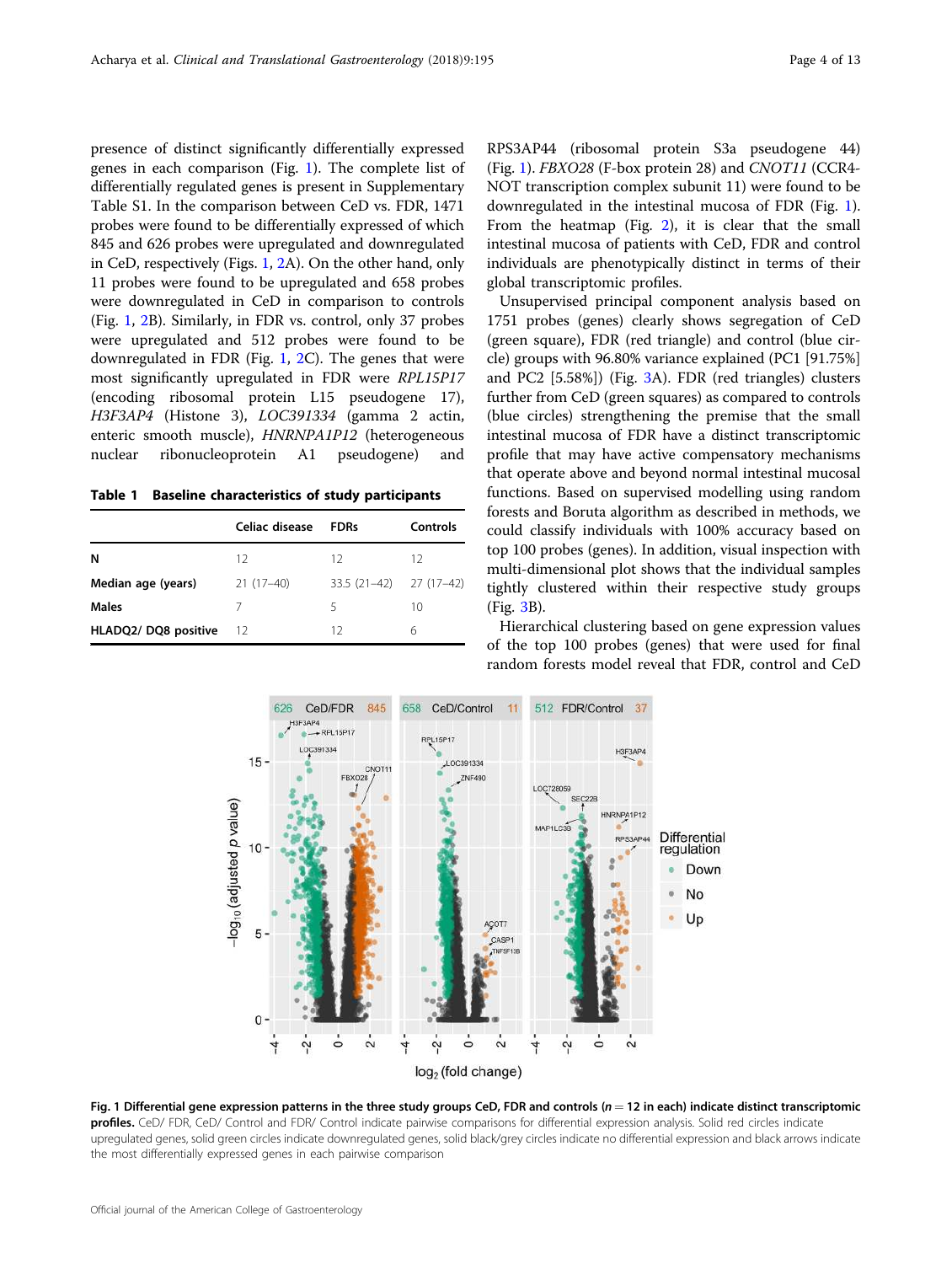presence of distinct significantly differentially expressed genes in each comparison (Fig. 1). The complete list of differentially regulated genes is present in Supplementary Table S1. In the comparison between CeD vs. FDR, 1471 probes were found to be differentially expressed of which 845 and 626 probes were upregulated and downregulated in CeD, respectively (Figs. 1, 2A). On the other hand, only 11 probes were found to be upregulated and 658 probes were downregulated in CeD in comparison to controls (Fig. 1, 2B). Similarly, in FDR vs. control, only 37 probes were upregulated and 512 probes were found to be downregulated in FDR (Fig. 1, 2C). The genes that were most significantly upregulated in FDR were RPL15P17 (encoding ribosomal protein L15 pseudogene 17), H3F3AP4 (Histone 3), LOC391334 (gamma 2 actin, enteric smooth muscle), HNRNPA1P12 (heterogeneous nuclear ribonucleoprotein A1 pseudogene) and

Table 1 Baseline characteristics of study participants

|                     | Celiac disease | <b>FDRs</b>             | Controls |
|---------------------|----------------|-------------------------|----------|
| N                   | 12             | 12                      | 12       |
| Median age (years)  | $21(17-40)$    | 33.5 (21-42) 27 (17-42) |          |
| <b>Males</b>        |                | 5                       | 10       |
| HLADQ2/DQ8 positive | -12            | 12                      | 6        |

RPS3AP44 (ribosomal protein S3a pseudogene 44) (Fig. 1). FBXO28 (F-box protein 28) and CNOT11 (CCR4- NOT transcription complex subunit 11) were found to be downregulated in the intestinal mucosa of FDR (Fig. 1). From the heatmap (Fig. 2), it is clear that the small intestinal mucosa of patients with CeD, FDR and control individuals are phenotypically distinct in terms of their global transcriptomic profiles.

Unsupervised principal component analysis based on 1751 probes (genes) clearly shows segregation of CeD (green square), FDR (red triangle) and control (blue circle) groups with 96.80% variance explained (PC1 [91.75%] and PC2 [5.58%]) (Fig. 3A). FDR (red triangles) clusters further from CeD (green squares) as compared to controls (blue circles) strengthening the premise that the small intestinal mucosa of FDR have a distinct transcriptomic profile that may have active compensatory mechanisms that operate above and beyond normal intestinal mucosal functions. Based on supervised modelling using random forests and Boruta algorithm as described in methods, we could classify individuals with 100% accuracy based on top 100 probes (genes). In addition, visual inspection with multi-dimensional plot shows that the individual samples tightly clustered within their respective study groups (Fig. 3B).

Hierarchical clustering based on gene expression values of the top 100 probes (genes) that were used for final random forests model reveal that FDR, control and CeD



Fig. 1 Differential gene expression patterns in the three study groups CeD, FDR and controls ( $n = 12$  in each) indicate distinct transcriptomic profiles. CeD/ FDR, CeD/ Control and FDR/ Control indicate pairwise comparisons for differential expression analysis. Solid red circles indicate upregulated genes, solid green circles indicate downregulated genes, solid black/grey circles indicate no differential expression and black arrows indicate the most differentially expressed genes in each pairwise comparison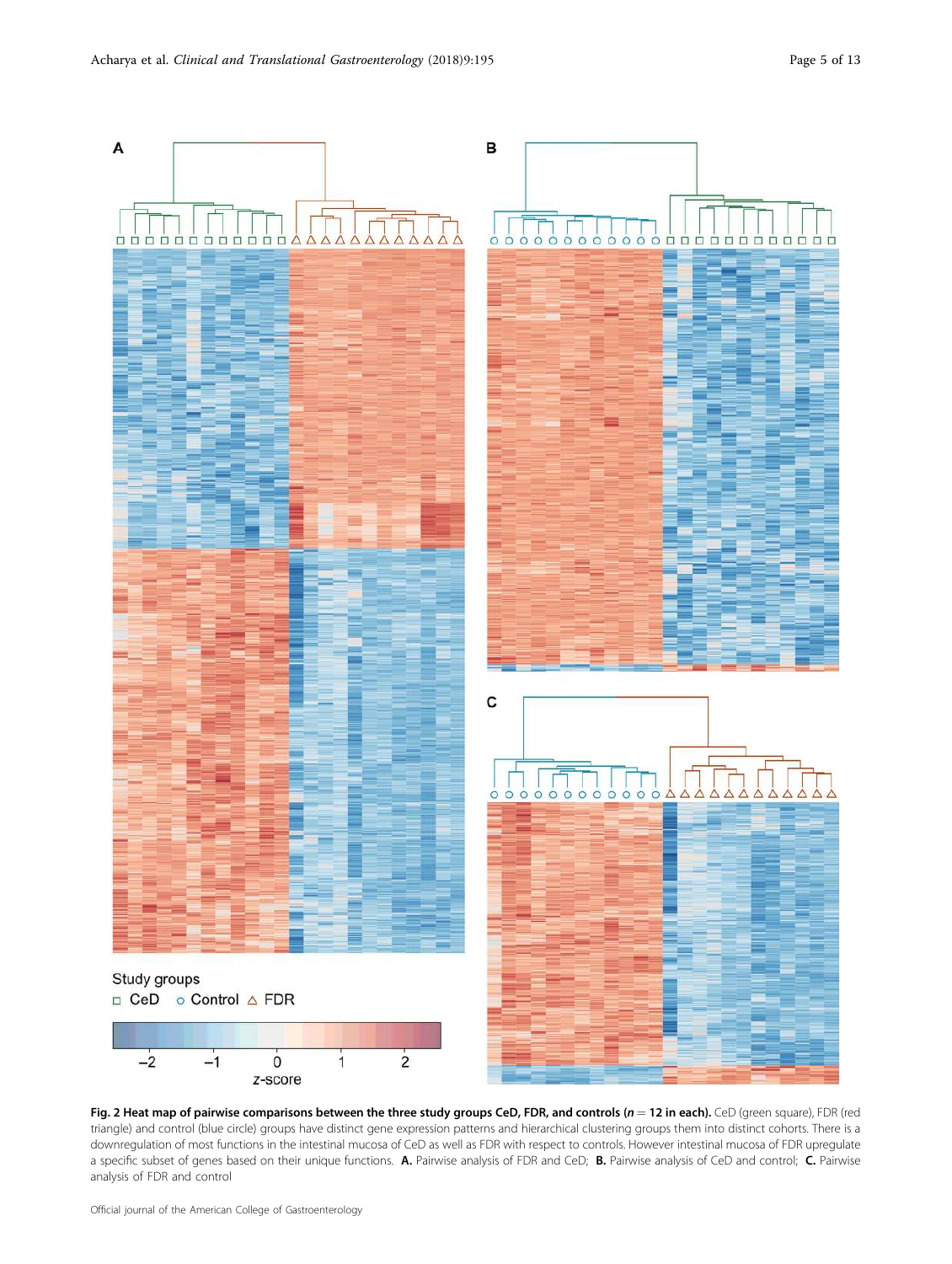

Fig. 2 Heat map of pairwise comparisons between the three study groups CeD, FDR, and controls ( $n = 12$  in each). CeD (green square), FDR (red triangle) and control (blue circle) groups have distinct gene expression patterns and hierarchical clustering groups them into distinct cohorts. There is a downregulation of most functions in the intestinal mucosa of CeD as well as FDR with respect to controls. However intestinal mucosa of FDR upregulate a specific subset of genes based on their unique functions. A. Pairwise analysis of FDR and CeD; B. Pairwise analysis of CeD and control; C. Pairwise analysis of FDR and control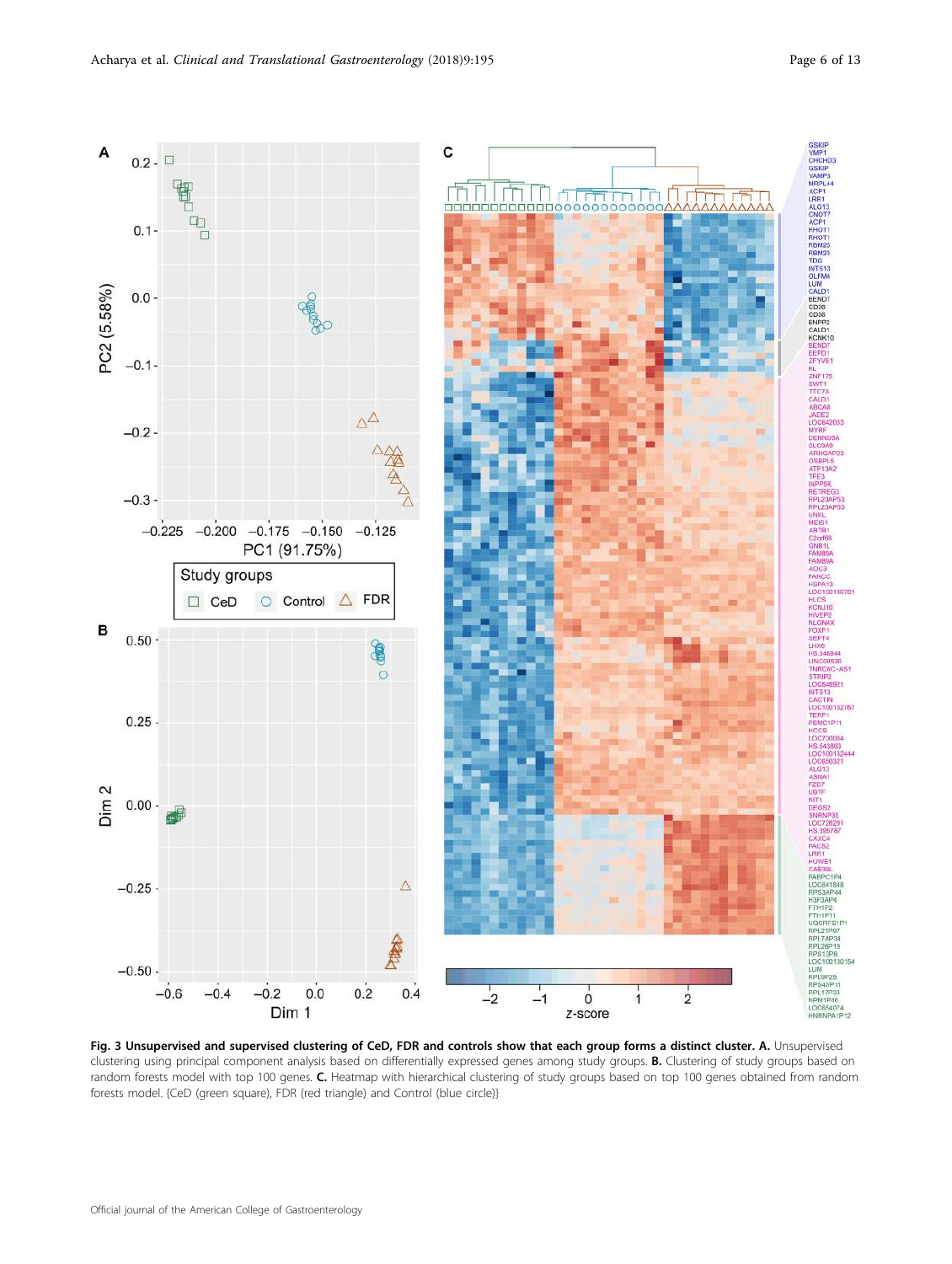

Fig. 3 Unsupervised and supervised clustering of CeD, FDR and controls show that each group forms a distinct cluster. A. Unsupervised clustering using principal component analysis based on differentially expressed genes among study groups. B. Clustering of study groups based on random forests model with top 100 genes. C. Heatmap with hierarchical clustering of study groups based on top 100 genes obtained from random forests model. {CeD (green square), FDR (red triangle) and Control (blue circle)}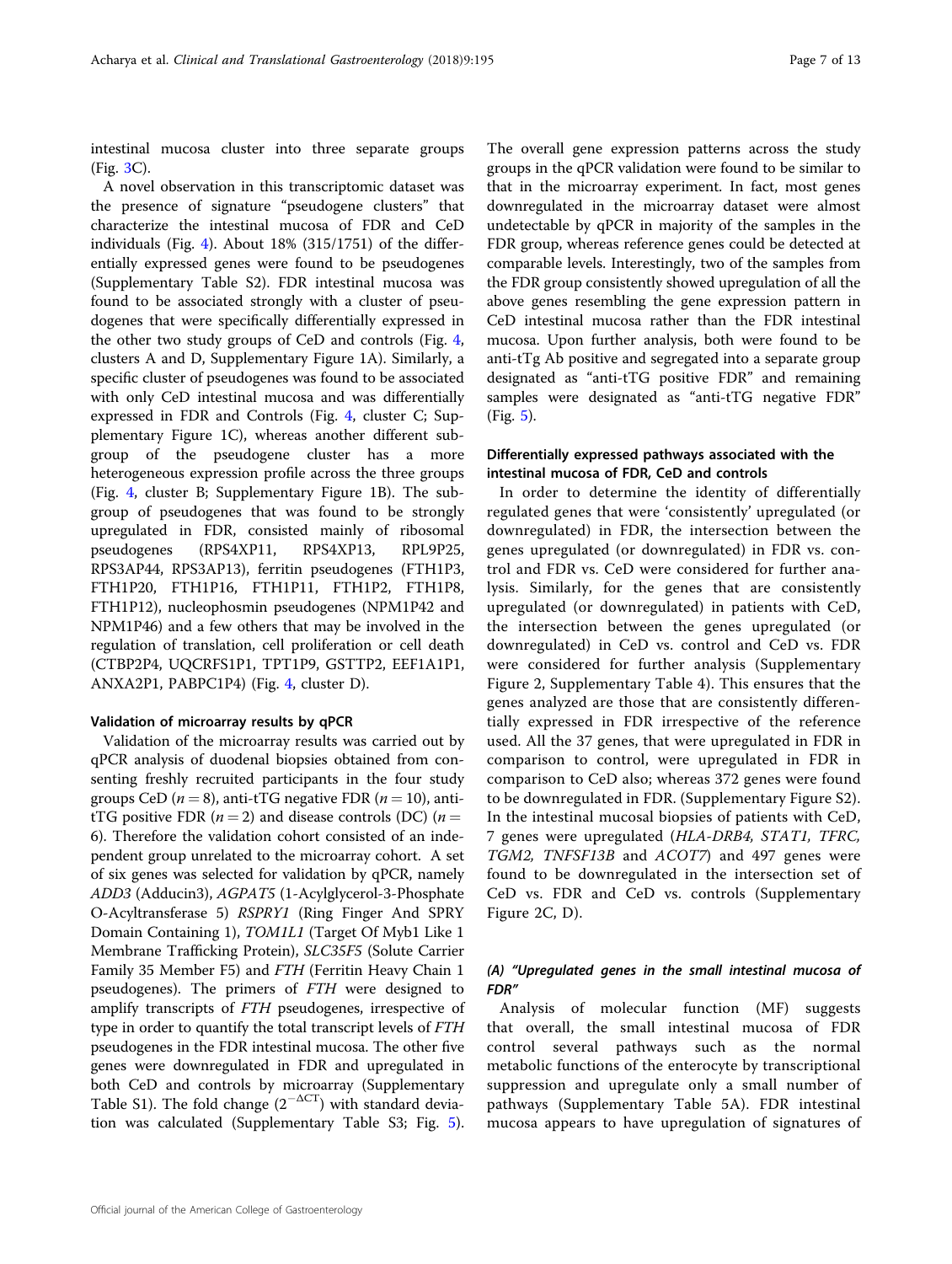intestinal mucosa cluster into three separate groups  $(Fig. 3C)$ .

A novel observation in this transcriptomic dataset was the presence of signature "pseudogene clusters" that characterize the intestinal mucosa of FDR and CeD individuals (Fig. 4). About 18% (315/1751) of the differentially expressed genes were found to be pseudogenes (Supplementary Table S2). FDR intestinal mucosa was found to be associated strongly with a cluster of pseudogenes that were specifically differentially expressed in the other two study groups of CeD and controls (Fig. 4, clusters A and D, Supplementary Figure 1A). Similarly, a specific cluster of pseudogenes was found to be associated with only CeD intestinal mucosa and was differentially expressed in FDR and Controls (Fig. 4, cluster C; Supplementary Figure 1C), whereas another different subgroup of the pseudogene cluster has a more heterogeneous expression profile across the three groups (Fig. 4, cluster B; Supplementary Figure 1B). The subgroup of pseudogenes that was found to be strongly upregulated in FDR, consisted mainly of ribosomal pseudogenes (RPS4XP11, RPS4XP13, RPL9P25, RPS3AP44, RPS3AP13), ferritin pseudogenes (FTH1P3, FTH1P20, FTH1P16, FTH1P11, FTH1P2, FTH1P8, FTH1P12), nucleophosmin pseudogenes (NPM1P42 and NPM1P46) and a few others that may be involved in the regulation of translation, cell proliferation or cell death (CTBP2P4, UQCRFS1P1, TPT1P9, GSTTP2, EEF1A1P1, ANXA2P1, PABPC1P4) (Fig. 4, cluster D).

#### Validation of microarray results by qPCR

Validation of the microarray results was carried out by qPCR analysis of duodenal biopsies obtained from consenting freshly recruited participants in the four study groups CeD ( $n = 8$ ), anti-tTG negative FDR ( $n = 10$ ), antitTG positive FDR ( $n = 2$ ) and disease controls (DC) ( $n =$ 6). Therefore the validation cohort consisted of an independent group unrelated to the microarray cohort. A set of six genes was selected for validation by qPCR, namely ADD3 (Adducin3), AGPAT5 (1-Acylglycerol-3-Phosphate O-Acyltransferase 5) RSPRY1 (Ring Finger And SPRY Domain Containing 1), TOM1L1 (Target Of Myb1 Like 1 Membrane Trafficking Protein), SLC35F5 (Solute Carrier Family 35 Member F5) and FTH (Ferritin Heavy Chain 1 pseudogenes). The primers of FTH were designed to amplify transcripts of FTH pseudogenes, irrespective of type in order to quantify the total transcript levels of FTH pseudogenes in the FDR intestinal mucosa. The other five genes were downregulated in FDR and upregulated in both CeD and controls by microarray (Supplementary Table S1). The fold change  $(2^{-\Delta CT})$  with standard deviation was calculated (Supplementary Table S3; Fig. 5). The overall gene expression patterns across the study groups in the qPCR validation were found to be similar to that in the microarray experiment. In fact, most genes downregulated in the microarray dataset were almost undetectable by qPCR in majority of the samples in the FDR group, whereas reference genes could be detected at comparable levels. Interestingly, two of the samples from the FDR group consistently showed upregulation of all the above genes resembling the gene expression pattern in CeD intestinal mucosa rather than the FDR intestinal mucosa. Upon further analysis, both were found to be anti-tTg Ab positive and segregated into a separate group designated as "anti-tTG positive FDR" and remaining samples were designated as "anti-tTG negative FDR" (Fig. 5).

# Differentially expressed pathways associated with the intestinal mucosa of FDR, CeD and controls

In order to determine the identity of differentially regulated genes that were 'consistently' upregulated (or downregulated) in FDR, the intersection between the genes upregulated (or downregulated) in FDR vs. control and FDR vs. CeD were considered for further analysis. Similarly, for the genes that are consistently upregulated (or downregulated) in patients with CeD, the intersection between the genes upregulated (or downregulated) in CeD vs. control and CeD vs. FDR were considered for further analysis (Supplementary Figure 2, Supplementary Table 4). This ensures that the genes analyzed are those that are consistently differentially expressed in FDR irrespective of the reference used. All the 37 genes, that were upregulated in FDR in comparison to control, were upregulated in FDR in comparison to CeD also; whereas 372 genes were found to be downregulated in FDR. (Supplementary Figure S2). In the intestinal mucosal biopsies of patients with CeD, 7 genes were upregulated (HLA-DRB4, STAT1, TFRC, TGM2, TNFSF13B and ACOT7) and 497 genes were found to be downregulated in the intersection set of CeD vs. FDR and CeD vs. controls (Supplementary Figure 2C, D).

# (A) "Upregulated genes in the small intestinal mucosa of FDR"

Analysis of molecular function (MF) suggests that overall, the small intestinal mucosa of FDR control several pathways such as the normal metabolic functions of the enterocyte by transcriptional suppression and upregulate only a small number of pathways (Supplementary Table 5A). FDR intestinal mucosa appears to have upregulation of signatures of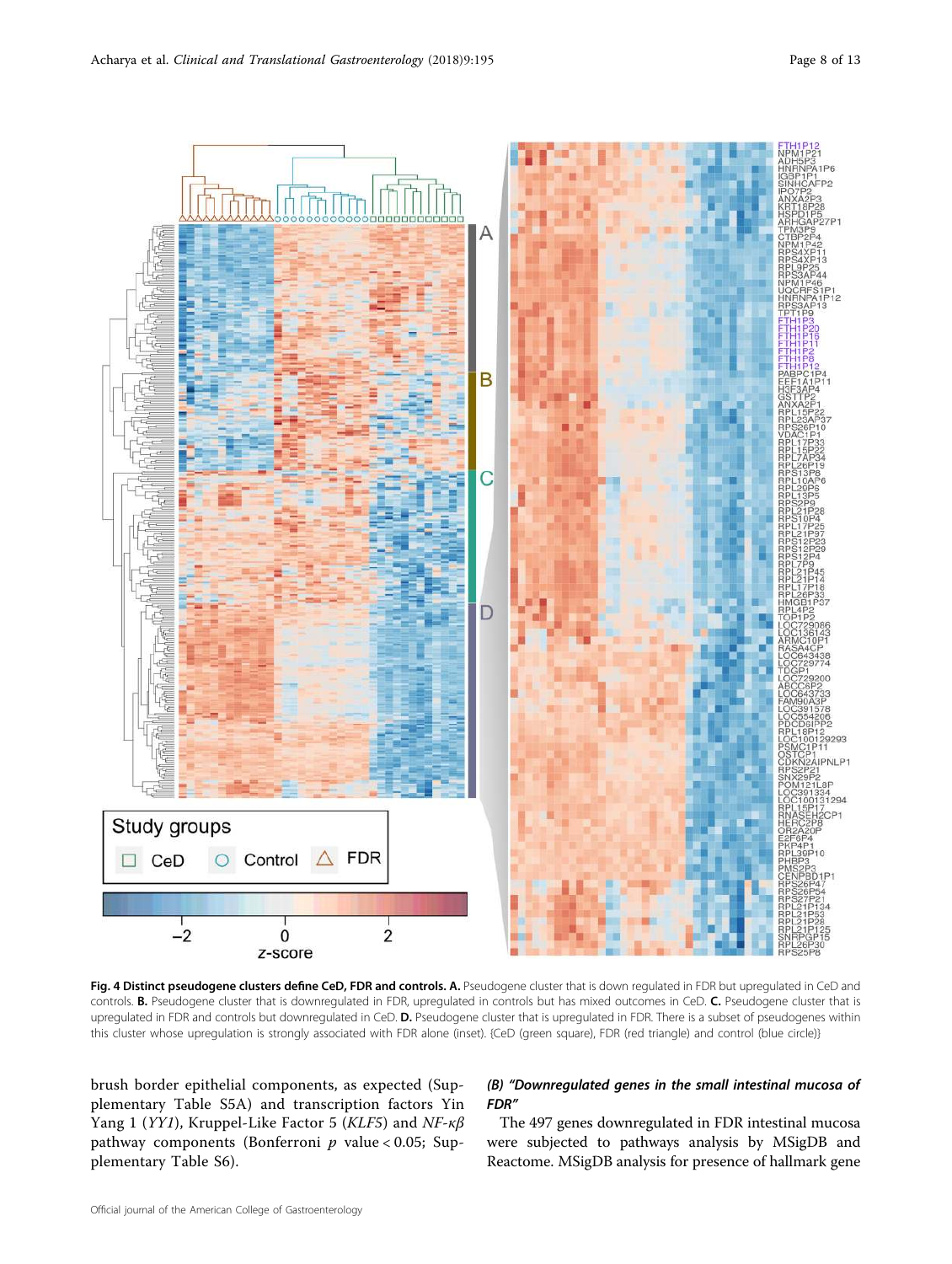

Fig. 4 Distinct pseudogene clusters define CeD, FDR and controls. A. Pseudogene cluster that is down regulated in FDR but upregulated in CeD and controls. **B.** Pseudogene cluster that is downregulated in FDR, upregulated in controls but has mixed outcomes in CeD. C. Pseudogene cluster that is upregulated in FDR and controls but downregulated in CeD. D. Pseudogene cluster that is upregulated in FDR. There is a subset of pseudogenes within this cluster whose upregulation is strongly associated with FDR alone (inset). {CeD (green square), FDR (red triangle) and control (blue circle)}

brush border epithelial components, as expected (Supplementary Table S5A) and transcription factors Yin Yang 1 (YY1), Kruppel-Like Factor 5 (KLF5) and  $NF$ - $\kappa\beta$ pathway components (Bonferroni  $p$  value < 0.05; Supplementary Table S6).

# (B) "Downregulated genes in the small intestinal mucosa of FDR"

The 497 genes downregulated in FDR intestinal mucosa were subjected to pathways analysis by MSigDB and Reactome. MSigDB analysis for presence of hallmark gene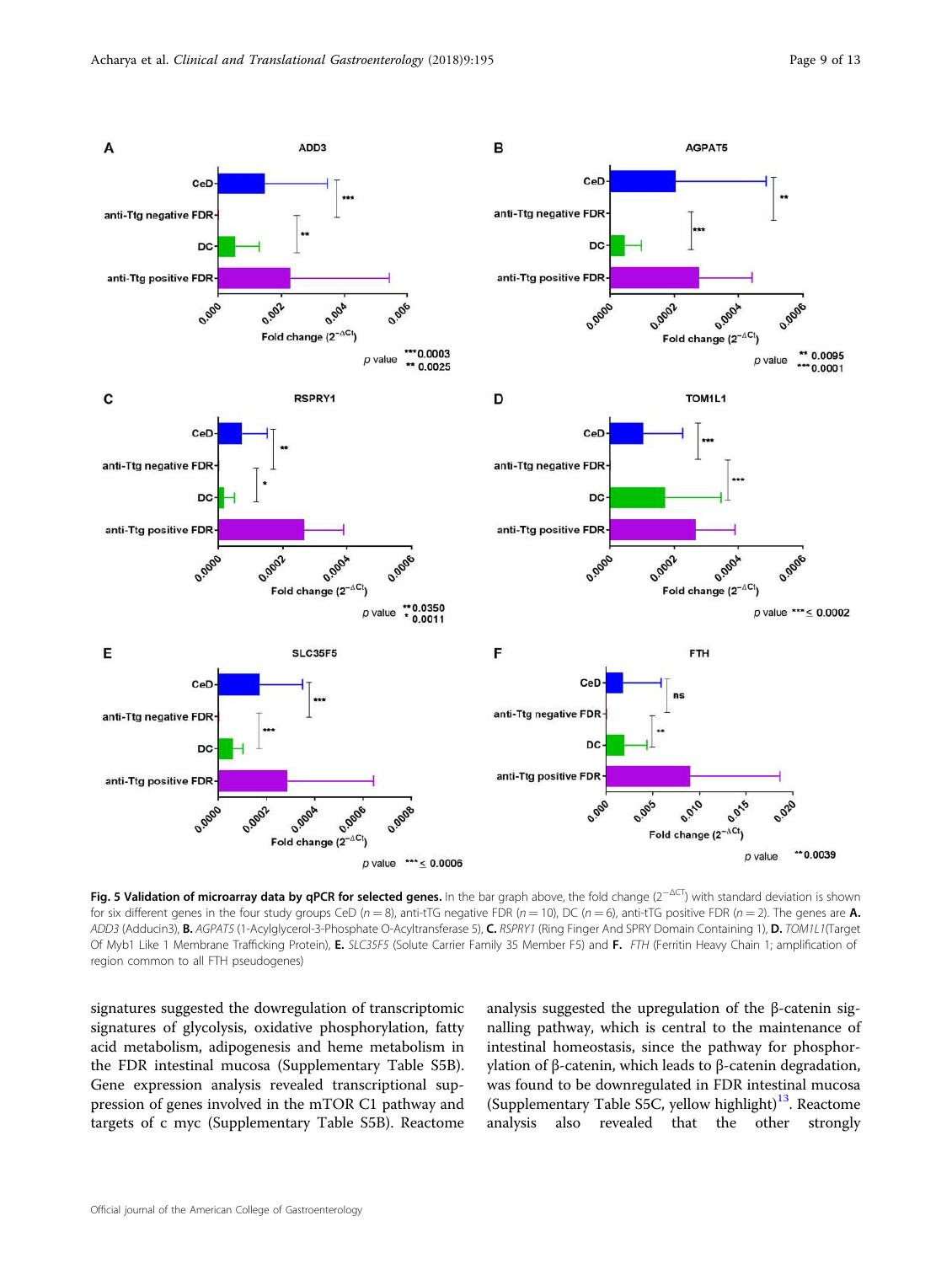

Fig. 5 Validation of microarray data by qPCR for selected genes. In the bar graph above, the fold change  $(2^{-\Delta C})$  with standard deviation is shown for six different genes in the four study groups CeD ( $n = 8$ ), anti-tTG negative FDR ( $n = 10$ ), DC ( $n = 6$ ), anti-tTG positive FDR ( $n = 2$ ). The genes are **A.** *ADD3* (Adducin3), B. *AGPAT5* (1-Acylglycerol-3-Phosphate O-Acyltransferase 5), C. *RSPRY1* (Ring Finger And SPRY Domain Containing 1), D. *TOM1L1*(Target Of Myb1 Like 1 Membrane Trafficking Protein), E. *SLC35F5* (Solute Carrier Family 35 Member F5) and F. *FTH* (Ferritin Heavy Chain 1; amplification of region common to all FTH pseudogenes)

signatures suggested the dowregulation of transcriptomic signatures of glycolysis, oxidative phosphorylation, fatty acid metabolism, adipogenesis and heme metabolism in the FDR intestinal mucosa (Supplementary Table S5B). Gene expression analysis revealed transcriptional suppression of genes involved in the mTOR C1 pathway and targets of c myc (Supplementary Table S5B). Reactome analysis suggested the upregulation of the β-catenin signalling pathway, which is central to the maintenance of intestinal homeostasis, since the pathway for phosphorylation of β-catenin, which leads to β-catenin degradation, was found to be downregulated in FDR intestinal mucosa (Supplementary Table S5C, yellow highlight) $13$ . Reactome analysis also revealed that the other strongly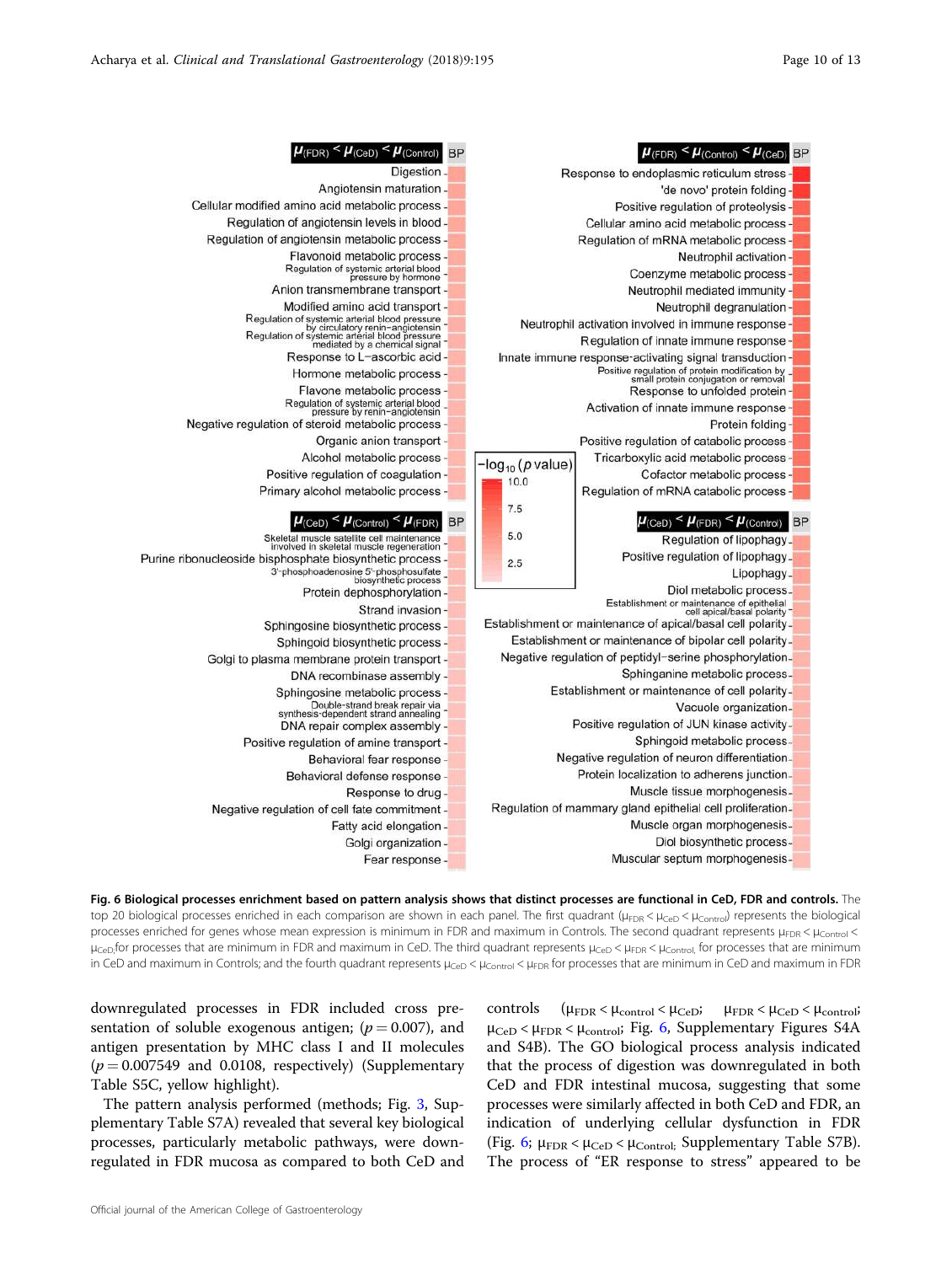

Fig. 6 Biological processes enrichment based on pattern analysis shows that distinct processes are functional in CeD, FDR and controls. The top 20 biological processes enriched in each comparison are shown in each panel. The first quadrant ( $\mu_{FDR}$  <  $\mu_{CeD}$  <  $\mu_{Contro}$ ) represents the biological processes enriched for genes whose mean expression is minimum in FDR and maximum in Controls. The second quadrant represents  $\mu_{\text{FDR}} < \mu_{\text{control}} <$  $\mu_{\text{CeD}}$  for processes that are minimum in FDR and maximum in CeD. The third quadrant represents  $\mu_{\text{CeD}} < \mu_{\text{FDR}} < \mu_{\text{Control}}$  for processes that are minimum in CeD and maximum in Controls; and the fourth quadrant represents  $\mu_{CeD} < \mu_{Control} < \mu_{FDR}$  for processes that are minimum in CeD and maximum in FDR

downregulated processes in FDR included cross presentation of soluble exogenous antigen;  $(p = 0.007)$ , and antigen presentation by MHC class I and II molecules  $(p = 0.007549$  and 0.0108, respectively) (Supplementary Table S5C, yellow highlight).

The pattern analysis performed (methods; Fig. 3, Supplementary Table S7A) revealed that several key biological processes, particularly metabolic pathways, were downregulated in FDR mucosa as compared to both CeD and

controls  $(\mu_{\text{FDR}} < \mu_{\text{control}} < \mu_{\text{CeD}}; \quad \mu_{\text{FDR}} < \mu_{\text{CoD}} < \mu_{\text{control}};$  $\mu_{\rm CeD}$  <  $\mu_{\rm FDR}$  <  $\mu_{\rm control}$ ; Fig. 6, Supplementary Figures S4A and S4B). The GO biological process analysis indicated that the process of digestion was downregulated in both CeD and FDR intestinal mucosa, suggesting that some processes were similarly affected in both CeD and FDR, an indication of underlying cellular dysfunction in FDR (Fig. 6;  $\mu_{\rm FDR}$  <  $\mu_{\rm CeD}$  <  $\mu_{\rm Control}$ ; Supplementary Table S7B). The process of "ER response to stress" appeared to be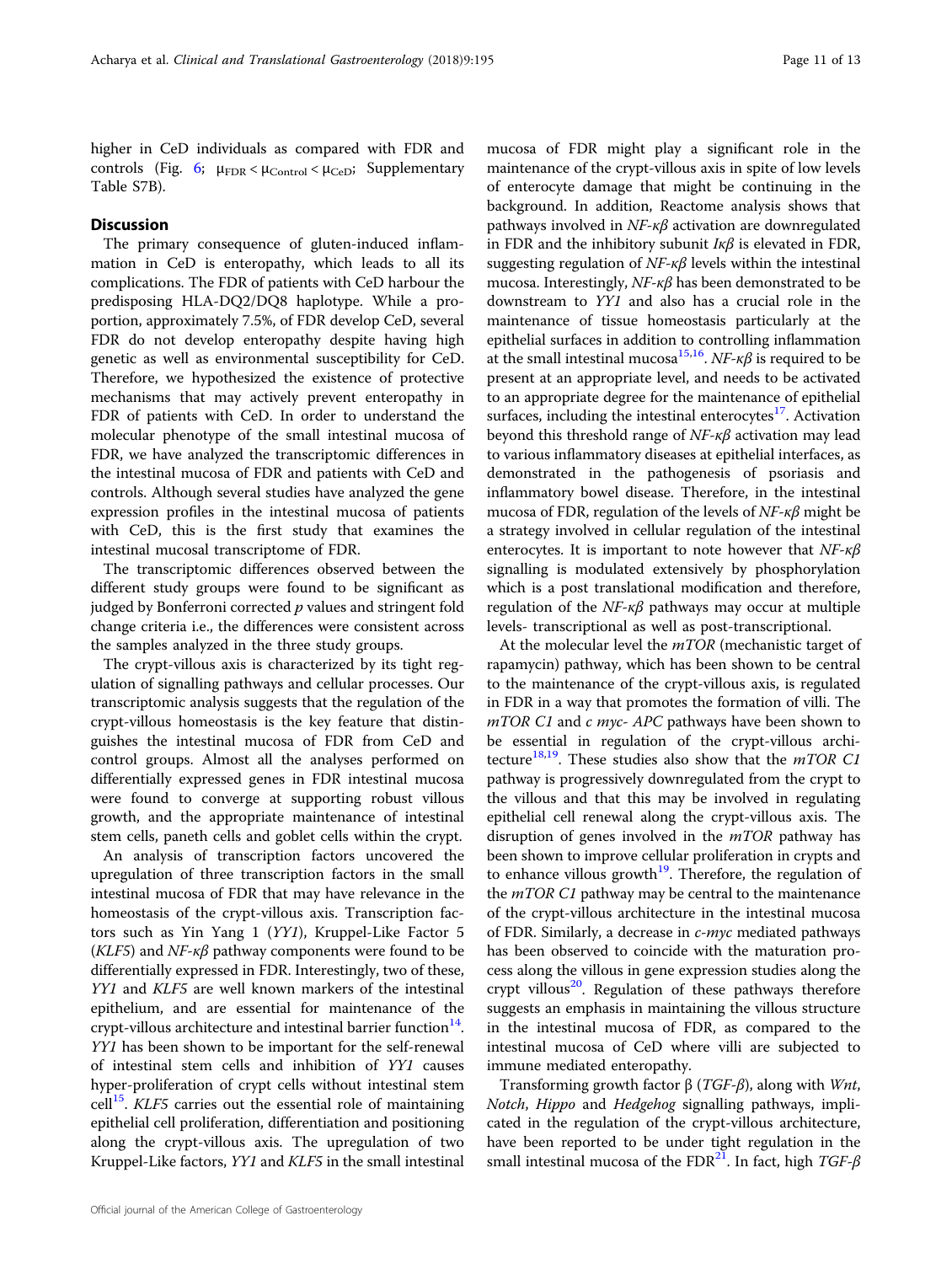higher in CeD individuals as compared with FDR and controls (Fig. 6;  $\mu_{\text{FDR}} < \mu_{\text{Control}} < \mu_{\text{CeD}}$ ; Supplementary Table S7B).

# **Discussion**

The primary consequence of gluten-induced inflammation in CeD is enteropathy, which leads to all its complications. The FDR of patients with CeD harbour the predisposing HLA-DQ2/DQ8 haplotype. While a proportion, approximately 7.5%, of FDR develop CeD, several FDR do not develop enteropathy despite having high genetic as well as environmental susceptibility for CeD. Therefore, we hypothesized the existence of protective mechanisms that may actively prevent enteropathy in FDR of patients with CeD. In order to understand the molecular phenotype of the small intestinal mucosa of FDR, we have analyzed the transcriptomic differences in the intestinal mucosa of FDR and patients with CeD and controls. Although several studies have analyzed the gene expression profiles in the intestinal mucosa of patients with CeD, this is the first study that examines the intestinal mucosal transcriptome of FDR.

The transcriptomic differences observed between the different study groups were found to be significant as judged by Bonferroni corrected  $p$  values and stringent fold change criteria i.e., the differences were consistent across the samples analyzed in the three study groups.

The crypt-villous axis is characterized by its tight regulation of signalling pathways and cellular processes. Our transcriptomic analysis suggests that the regulation of the crypt-villous homeostasis is the key feature that distinguishes the intestinal mucosa of FDR from CeD and control groups. Almost all the analyses performed on differentially expressed genes in FDR intestinal mucosa were found to converge at supporting robust villous growth, and the appropriate maintenance of intestinal stem cells, paneth cells and goblet cells within the crypt.

An analysis of transcription factors uncovered the upregulation of three transcription factors in the small intestinal mucosa of FDR that may have relevance in the homeostasis of the crypt-villous axis. Transcription factors such as Yin Yang 1 (YY1), Kruppel-Like Factor 5 (KLF5) and  $NF$ - $\kappa\beta$  pathway components were found to be differentially expressed in FDR. Interestingly, two of these, YY1 and KLF5 are well known markers of the intestinal epithelium, and are essential for maintenance of the  $\frac{1}{2}$  crypt-villous architecture and intestinal barrier function $14$ . YY1 has been shown to be important for the self-renewal of intestinal stem cells and inhibition of YY1 causes hyper-proliferation of crypt cells without intestinal stem cell<sup>15</sup>. KLF5 carries out the essential role of maintaining epithelial cell proliferation, differentiation and positioning along the crypt-villous axis. The upregulation of two Kruppel-Like factors, YY1 and KLF5 in the small intestinal

mucosa of FDR might play a significant role in the maintenance of the crypt-villous axis in spite of low levels of enterocyte damage that might be continuing in the background. In addition, Reactome analysis shows that pathways involved in  $NF$ - $\kappa\beta$  activation are downregulated in FDR and the inhibitory subunit  $I\kappa\beta$  is elevated in FDR, suggesting regulation of  $NF-\kappa\beta$  levels within the intestinal mucosa. Interestingly,  $NF-\kappa\beta$  has been demonstrated to be downstream to YY1 and also has a crucial role in the maintenance of tissue homeostasis particularly at the epithelial surfaces in addition to controlling inflammation at the small intestinal mucosa<sup>15,16</sup>. NF- $\kappa\beta$  is required to be present at an appropriate level, and needs to be activated to an appropriate degree for the maintenance of epithelial surfaces, including the intestinal enterocytes $^{17}$ . Activation beyond this threshold range of  $NF-\kappa\beta$  activation may lead to various inflammatory diseases at epithelial interfaces, as demonstrated in the pathogenesis of psoriasis and inflammatory bowel disease. Therefore, in the intestinal mucosa of FDR, regulation of the levels of  $NF-\kappa\beta$  might be a strategy involved in cellular regulation of the intestinal enterocytes. It is important to note however that  $N_F - \kappa \beta$ signalling is modulated extensively by phosphorylation which is a post translational modification and therefore, regulation of the  $NF$ - $\kappa\beta$  pathways may occur at multiple levels- transcriptional as well as post-transcriptional.

At the molecular level the *mTOR* (mechanistic target of rapamycin) pathway, which has been shown to be central to the maintenance of the crypt-villous axis, is regulated in FDR in a way that promotes the formation of villi. The  $mTOR$  C1 and  $c$  myc- APC pathways have been shown to be essential in regulation of the crypt-villous architecture<sup>18,19</sup>. These studies also show that the *mTOR C1* pathway is progressively downregulated from the crypt to the villous and that this may be involved in regulating epithelial cell renewal along the crypt-villous axis. The disruption of genes involved in the  $mTOR$  pathway has been shown to improve cellular proliferation in crypts and to enhance villous growth<sup>19</sup>. Therefore, the regulation of the  $mTOR$   $CI$  pathway may be central to the maintenance of the crypt-villous architecture in the intestinal mucosa of FDR. Similarly, a decrease in c-myc mediated pathways has been observed to coincide with the maturation process along the villous in gene expression studies along the crypt villous<sup>20</sup>. Regulation of these pathways therefore suggests an emphasis in maintaining the villous structure in the intestinal mucosa of FDR, as compared to the intestinal mucosa of CeD where villi are subjected to immune mediated enteropathy.

Transforming growth factor  $β$  (*TGF-β*), along with *Wnt*, Notch, Hippo and Hedgehog signalling pathways, implicated in the regulation of the crypt-villous architecture, have been reported to be under tight regulation in the small intestinal mucosa of the FDR<sup>21</sup>. In fact, high  $TGF- $\beta$$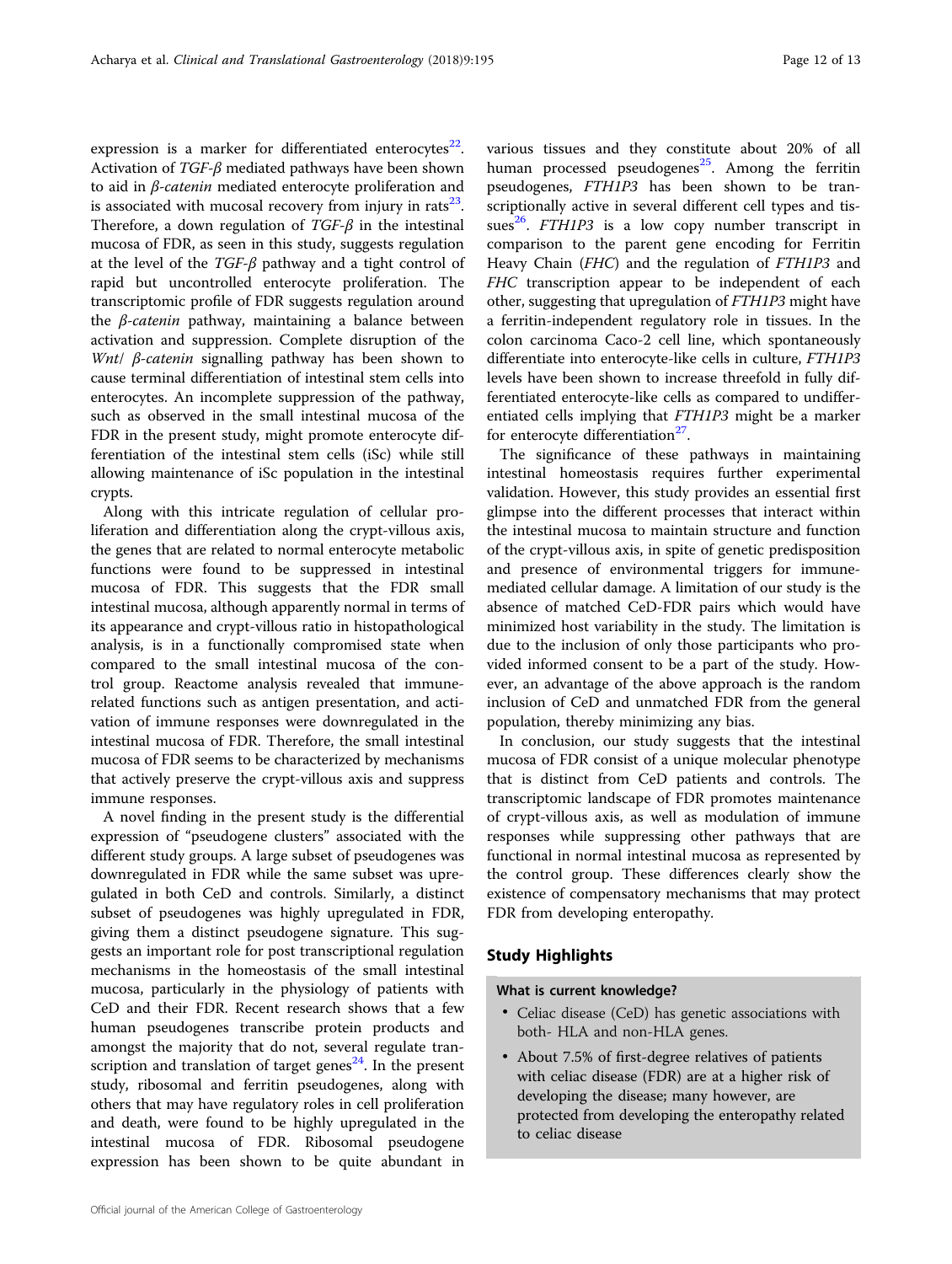expression is a marker for differentiated enterocytes<sup>22</sup>. Activation of TGF-β mediated pathways have been shown to aid in β-catenin mediated enterocyte proliferation and is associated with mucosal recovery from injury in rats $^{23}$ . Therefore, a down regulation of  $TGF-\beta$  in the intestinal mucosa of FDR, as seen in this study, suggests regulation at the level of the  $TGF$ - $\beta$  pathway and a tight control of rapid but uncontrolled enterocyte proliferation. The transcriptomic profile of FDR suggests regulation around the  $\beta$ -catenin pathway, maintaining a balance between activation and suppression. Complete disruption of the Wnt/  $\beta$ -catenin signalling pathway has been shown to cause terminal differentiation of intestinal stem cells into enterocytes. An incomplete suppression of the pathway, such as observed in the small intestinal mucosa of the FDR in the present study, might promote enterocyte differentiation of the intestinal stem cells (iSc) while still allowing maintenance of iSc population in the intestinal crypts.

Along with this intricate regulation of cellular proliferation and differentiation along the crypt-villous axis, the genes that are related to normal enterocyte metabolic functions were found to be suppressed in intestinal mucosa of FDR. This suggests that the FDR small intestinal mucosa, although apparently normal in terms of its appearance and crypt-villous ratio in histopathological analysis, is in a functionally compromised state when compared to the small intestinal mucosa of the control group. Reactome analysis revealed that immunerelated functions such as antigen presentation, and activation of immune responses were downregulated in the intestinal mucosa of FDR. Therefore, the small intestinal mucosa of FDR seems to be characterized by mechanisms that actively preserve the crypt-villous axis and suppress immune responses.

A novel finding in the present study is the differential expression of "pseudogene clusters" associated with the different study groups. A large subset of pseudogenes was downregulated in FDR while the same subset was upregulated in both CeD and controls. Similarly, a distinct subset of pseudogenes was highly upregulated in FDR, giving them a distinct pseudogene signature. This suggests an important role for post transcriptional regulation mechanisms in the homeostasis of the small intestinal mucosa, particularly in the physiology of patients with CeD and their FDR. Recent research shows that a few human pseudogenes transcribe protein products and amongst the majority that do not, several regulate transcription and translation of target genes<sup> $24$ </sup>. In the present study, ribosomal and ferritin pseudogenes, along with others that may have regulatory roles in cell proliferation and death, were found to be highly upregulated in the intestinal mucosa of FDR. Ribosomal pseudogene expression has been shown to be quite abundant in various tissues and they constitute about 20% of all human processed pseudogenes<sup>25</sup>. Among the ferritin pseudogenes, FTH1P3 has been shown to be transcriptionally active in several different cell types and tissues<sup>26</sup>. FTH1P3 is a low copy number transcript in comparison to the parent gene encoding for Ferritin Heavy Chain (FHC) and the regulation of FTH1P3 and FHC transcription appear to be independent of each other, suggesting that upregulation of FTH1P3 might have a ferritin-independent regulatory role in tissues. In the colon carcinoma Caco-2 cell line, which spontaneously differentiate into enterocyte-like cells in culture, FTH1P3 levels have been shown to increase threefold in fully differentiated enterocyte-like cells as compared to undifferentiated cells implying that FTH1P3 might be a marker for enterocyte differentiation<sup>27</sup>.

The significance of these pathways in maintaining intestinal homeostasis requires further experimental validation. However, this study provides an essential first glimpse into the different processes that interact within the intestinal mucosa to maintain structure and function of the crypt-villous axis, in spite of genetic predisposition and presence of environmental triggers for immunemediated cellular damage. A limitation of our study is the absence of matched CeD-FDR pairs which would have minimized host variability in the study. The limitation is due to the inclusion of only those participants who provided informed consent to be a part of the study. However, an advantage of the above approach is the random inclusion of CeD and unmatched FDR from the general population, thereby minimizing any bias.

In conclusion, our study suggests that the intestinal mucosa of FDR consist of a unique molecular phenotype that is distinct from CeD patients and controls. The transcriptomic landscape of FDR promotes maintenance of crypt-villous axis, as well as modulation of immune responses while suppressing other pathways that are functional in normal intestinal mucosa as represented by the control group. These differences clearly show the existence of compensatory mechanisms that may protect FDR from developing enteropathy.

# Study Highlights

#### What is current knowledge?

- Celiac disease (CeD) has genetic associations with both- HLA and non-HLA genes.
- About 7.5% of first-degree relatives of patients with celiac disease (FDR) are at a higher risk of developing the disease; many however, are protected from developing the enteropathy related to celiac disease